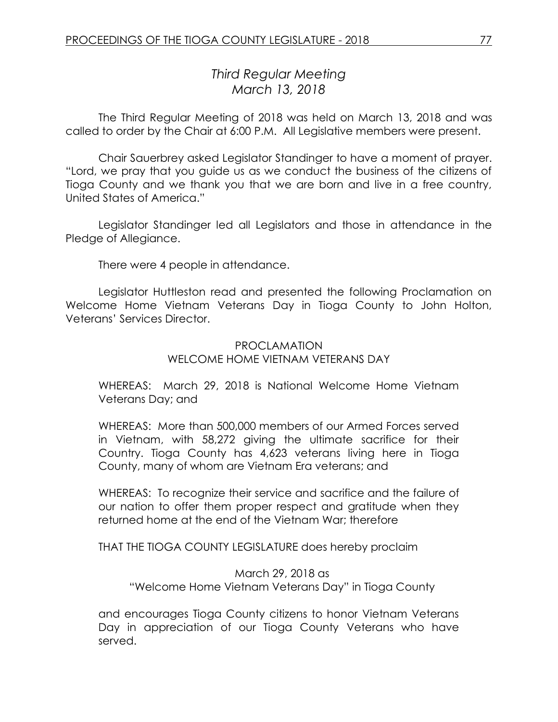# *Third Regular Meeting March 13, 2018*

The Third Regular Meeting of 2018 was held on March 13, 2018 and was called to order by the Chair at 6:00 P.M. All Legislative members were present.

Chair Sauerbrey asked Legislator Standinger to have a moment of prayer. "Lord, we pray that you guide us as we conduct the business of the citizens of Tioga County and we thank you that we are born and live in a free country, United States of America."

Legislator Standinger led all Legislators and those in attendance in the Pledge of Allegiance.

There were 4 people in attendance.

Legislator Huttleston read and presented the following Proclamation on Welcome Home Vietnam Veterans Day in Tioga County to John Holton, Veterans' Services Director.

#### PROCLAMATION WELCOME HOME VIETNAM VETERANS DAY

WHEREAS: March 29, 2018 is National Welcome Home Vietnam Veterans Day; and

WHEREAS: More than 500,000 members of our Armed Forces served in Vietnam, with 58,272 giving the ultimate sacrifice for their Country. Tioga County has 4,623 veterans living here in Tioga County, many of whom are Vietnam Era veterans; and

WHEREAS: To recognize their service and sacrifice and the failure of our nation to offer them proper respect and gratitude when they returned home at the end of the Vietnam War; therefore

THAT THE TIOGA COUNTY LEGISLATURE does hereby proclaim

March 29, 2018 as "Welcome Home Vietnam Veterans Day" in Tioga County

and encourages Tioga County citizens to honor Vietnam Veterans Day in appreciation of our Tioga County Veterans who have served.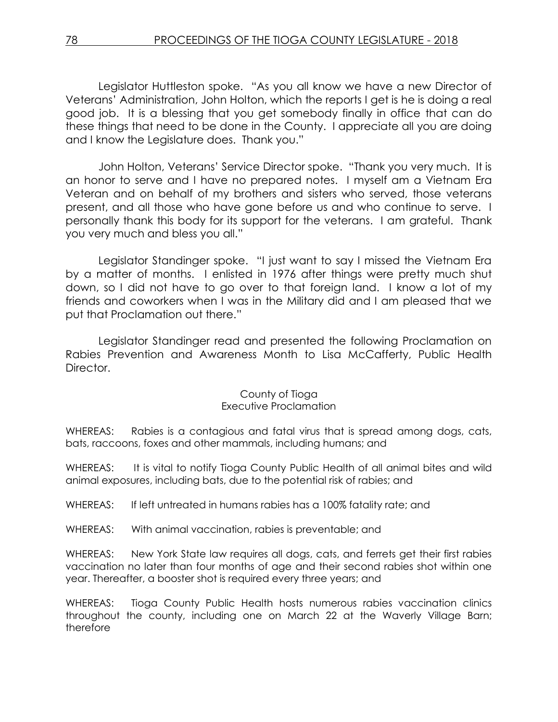Legislator Huttleston spoke. "As you all know we have a new Director of Veterans' Administration, John Holton, which the reports I get is he is doing a real good job. It is a blessing that you get somebody finally in office that can do these things that need to be done in the County. I appreciate all you are doing and I know the Legislature does. Thank you."

John Holton, Veterans' Service Director spoke. "Thank you very much. It is an honor to serve and I have no prepared notes. I myself am a Vietnam Era Veteran and on behalf of my brothers and sisters who served, those veterans present, and all those who have gone before us and who continue to serve. I personally thank this body for its support for the veterans. I am grateful. Thank you very much and bless you all."

Legislator Standinger spoke. "I just want to say I missed the Vietnam Era by a matter of months. I enlisted in 1976 after things were pretty much shut down, so I did not have to go over to that foreign land. I know a lot of my friends and coworkers when I was in the Military did and I am pleased that we put that Proclamation out there."

Legislator Standinger read and presented the following Proclamation on Rabies Prevention and Awareness Month to Lisa McCafferty, Public Health Director.

#### County of Tioga Executive Proclamation

WHEREAS: Rabies is a contagious and fatal virus that is spread among dogs, cats, bats, raccoons, foxes and other mammals, including humans; and

WHEREAS: It is vital to notify Tioga County Public Health of all animal bites and wild animal exposures, including bats, due to the potential risk of rabies; and

WHEREAS: If left untreated in humans rabies has a 100% fatality rate; and

WHEREAS: With animal vaccination, rabies is preventable; and

WHEREAS: New York State law requires all dogs, cats, and ferrets get their first rabies vaccination no later than four months of age and their second rabies shot within one year. Thereafter, a booster shot is required every three years; and

WHEREAS: Tioga County Public Health hosts numerous rabies vaccination clinics throughout the county, including one on March 22 at the Waverly Village Barn; therefore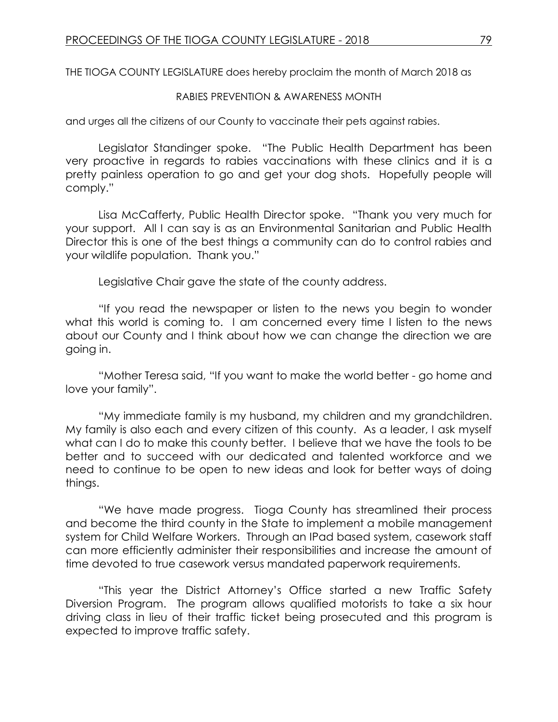THE TIOGA COUNTY LEGISLATURE does hereby proclaim the month of March 2018 as

#### RABIES PREVENTION & AWARENESS MONTH

and urges all the citizens of our County to vaccinate their pets against rabies.

Legislator Standinger spoke. "The Public Health Department has been very proactive in regards to rabies vaccinations with these clinics and it is a pretty painless operation to go and get your dog shots. Hopefully people will comply."

Lisa McCafferty, Public Health Director spoke. "Thank you very much for your support. All I can say is as an Environmental Sanitarian and Public Health Director this is one of the best things a community can do to control rabies and your wildlife population. Thank you."

Legislative Chair gave the state of the county address.

"If you read the newspaper or listen to the news you begin to wonder what this world is coming to. I am concerned every time I listen to the news about our County and I think about how we can change the direction we are going in.

"Mother Teresa said, "If you want to make the world better - go home and love your family".

"My immediate family is my husband, my children and my grandchildren. My family is also each and every citizen of this county. As a leader, I ask myself what can I do to make this county better. I believe that we have the tools to be better and to succeed with our dedicated and talented workforce and we need to continue to be open to new ideas and look for better ways of doing things.

"We have made progress. Tioga County has streamlined their process and become the third county in the State to implement a mobile management system for Child Welfare Workers. Through an IPad based system, casework staff can more efficiently administer their responsibilities and increase the amount of time devoted to true casework versus mandated paperwork requirements.

"This year the District Attorney's Office started a new Traffic Safety Diversion Program. The program allows qualified motorists to take a six hour driving class in lieu of their traffic ticket being prosecuted and this program is expected to improve traffic safety.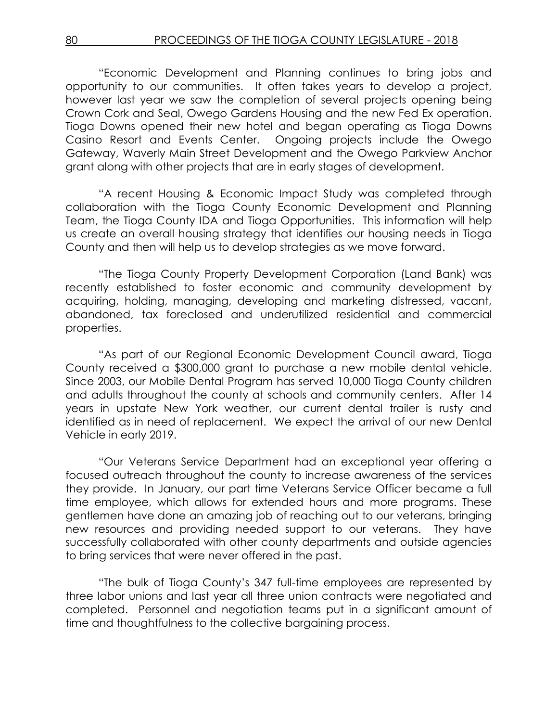"Economic Development and Planning continues to bring jobs and opportunity to our communities. It often takes years to develop a project, however last year we saw the completion of several projects opening being Crown Cork and Seal, Owego Gardens Housing and the new Fed Ex operation. Tioga Downs opened their new hotel and began operating as Tioga Downs Casino Resort and Events Center. Ongoing projects include the Owego Gateway, Waverly Main Street Development and the Owego Parkview Anchor grant along with other projects that are in early stages of development.

"A recent Housing & Economic Impact Study was completed through collaboration with the Tioga County Economic Development and Planning Team, the Tioga County IDA and Tioga Opportunities. This information will help us create an overall housing strategy that identifies our housing needs in Tioga County and then will help us to develop strategies as we move forward.

"The Tioga County Property Development Corporation (Land Bank) was recently established to foster economic and community development by acquiring, holding, managing, developing and marketing distressed, vacant, abandoned, tax foreclosed and underutilized residential and commercial properties.

"As part of our Regional Economic Development Council award, Tioga County received a \$300,000 grant to purchase a new mobile dental vehicle. Since 2003, our Mobile Dental Program has served 10,000 Tioga County children and adults throughout the county at schools and community centers. After 14 years in upstate New York weather, our current dental trailer is rusty and identified as in need of replacement. We expect the arrival of our new Dental Vehicle in early 2019.

"Our Veterans Service Department had an exceptional year offering a focused outreach throughout the county to increase awareness of the services they provide. In January, our part time Veterans Service Officer became a full time employee, which allows for extended hours and more programs. These gentlemen have done an amazing job of reaching out to our veterans, bringing new resources and providing needed support to our veterans. They have successfully collaborated with other county departments and outside agencies to bring services that were never offered in the past.

"The bulk of Tioga County's 347 full-time employees are represented by three labor unions and last year all three union contracts were negotiated and completed. Personnel and negotiation teams put in a significant amount of time and thoughtfulness to the collective bargaining process.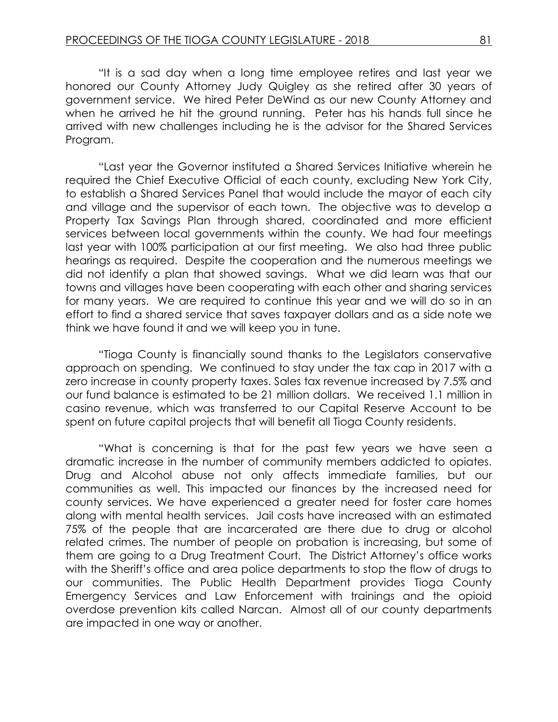"It is a sad day when a long time employee retires and last year we honored our County Attorney Judy Quigley as she retired after 30 years of government service. We hired Peter DeWind as our new County Attorney and when he arrived he hit the ground running. Peter has his hands full since he arrived with new challenges including he is the advisor for the Shared Services Program.

"Last year the Governor instituted a Shared Services Initiative wherein he required the Chief Executive Official of each county, excluding New York City, to establish a Shared Services Panel that would include the mayor of each city and village and the supervisor of each town. The objective was to develop a Property Tax Savings Plan through shared, coordinated and more efficient services between local governments within the county. We had four meetings last year with 100% participation at our first meeting. We also had three public hearings as required. Despite the cooperation and the numerous meetings we did not identify a plan that showed savings. What we did learn was that our towns and villages have been cooperating with each other and sharing services for many years. We are required to continue this year and we will do so in an effort to find a shared service that saves taxpayer dollars and as a side note we think we have found it and we will keep you in tune.

"Tioga County is financially sound thanks to the Legislators conservative approach on spending. We continued to stay under the tax cap in 2017 with a zero increase in county property taxes. Sales tax revenue increased by 7.5% and our fund balance is estimated to be 21 million dollars. We received 1.1 million in casino revenue, which was transferred to our Capital Reserve Account to be spent on future capital projects that will benefit all Tioga County residents.

"What is concerning is that for the past few years we have seen a dramatic increase in the number of community members addicted to opiates. Drug and Alcohol abuse not only affects immediate families, but our communities as well. This impacted our finances by the increased need for county services. We have experienced a greater need for foster care homes along with mental health services. Jail costs have increased with an estimated 75% of the people that are incarcerated are there due to drug or alcohol related crimes. The number of people on probation is increasing, but some of them are going to a Drug Treatment Court. The District Attorney's office works with the Sheriff's office and area police departments to stop the flow of drugs to our communities. The Public Health Department provides Tioga County Emergency Services and Law Enforcement with trainings and the opioid overdose prevention kits called Narcan. Almost all of our county departments are impacted in one way or another.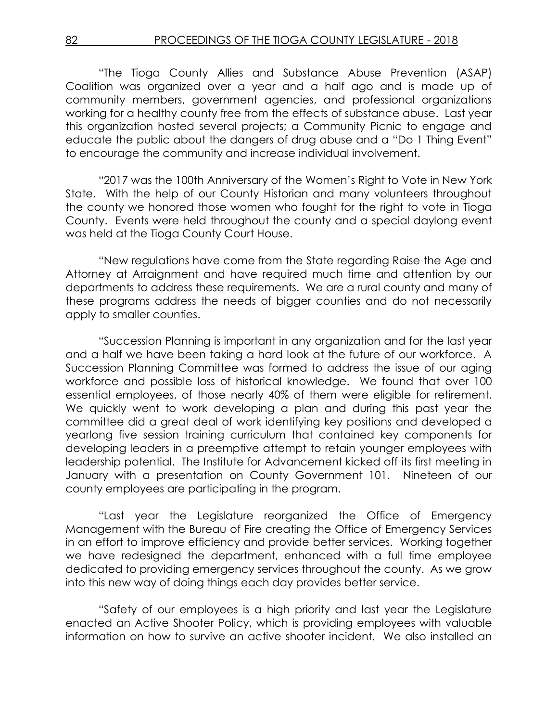"The Tioga County Allies and Substance Abuse Prevention (ASAP) Coalition was organized over a year and a half ago and is made up of community members, government agencies, and professional organizations working for a healthy county free from the effects of substance abuse. Last year this organization hosted several projects; a Community Picnic to engage and educate the public about the dangers of drug abuse and a "Do 1 Thing Event" to encourage the community and increase individual involvement.

"2017 was the 100th Anniversary of the Women's Right to Vote in New York State. With the help of our County Historian and many volunteers throughout the county we honored those women who fought for the right to vote in Tioga County. Events were held throughout the county and a special daylong event was held at the Tioga County Court House.

"New regulations have come from the State regarding Raise the Age and Attorney at Arraignment and have required much time and attention by our departments to address these requirements. We are a rural county and many of these programs address the needs of bigger counties and do not necessarily apply to smaller counties.

"Succession Planning is important in any organization and for the last year and a half we have been taking a hard look at the future of our workforce. A Succession Planning Committee was formed to address the issue of our aging workforce and possible loss of historical knowledge. We found that over 100 essential employees, of those nearly 40% of them were eligible for retirement. We quickly went to work developing a plan and during this past year the committee did a great deal of work identifying key positions and developed a yearlong five session training curriculum that contained key components for developing leaders in a preemptive attempt to retain younger employees with leadership potential. The Institute for Advancement kicked off its first meeting in January with a presentation on County Government 101. Nineteen of our county employees are participating in the program.

"Last year the Legislature reorganized the Office of Emergency Management with the Bureau of Fire creating the Office of Emergency Services in an effort to improve efficiency and provide better services. Working together we have redesigned the department, enhanced with a full time employee dedicated to providing emergency services throughout the county. As we grow into this new way of doing things each day provides better service.

"Safety of our employees is a high priority and last year the Legislature enacted an Active Shooter Policy, which is providing employees with valuable information on how to survive an active shooter incident. We also installed an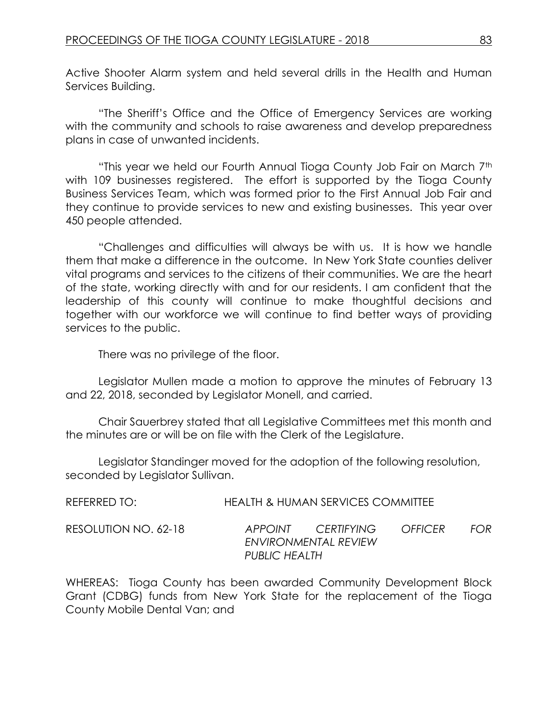Active Shooter Alarm system and held several drills in the Health and Human Services Building.

"The Sheriff's Office and the Office of Emergency Services are working with the community and schools to raise awareness and develop preparedness plans in case of unwanted incidents.

"This year we held our Fourth Annual Tioga County Job Fair on March 7<sup>th</sup> with 109 businesses registered. The effort is supported by the Tioga County Business Services Team, which was formed prior to the First Annual Job Fair and they continue to provide services to new and existing businesses. This year over 450 people attended.

"Challenges and difficulties will always be with us. It is how we handle them that make a difference in the outcome. In New York State counties deliver vital programs and services to the citizens of their communities. We are the heart of the state, working directly with and for our residents. I am confident that the leadership of this county will continue to make thoughtful decisions and together with our workforce we will continue to find better ways of providing services to the public.

There was no privilege of the floor.

Legislator Mullen made a motion to approve the minutes of February 13 and 22, 2018, seconded by Legislator Monell, and carried.

Chair Sauerbrey stated that all Legislative Committees met this month and the minutes are or will be on file with the Clerk of the Legislature.

Legislator Standinger moved for the adoption of the following resolution, seconded by Legislator Sullivan.

| REFERRED TO:         |               | HEALTH & HUMAN SERVICES COMMITTEE          |                |      |
|----------------------|---------------|--------------------------------------------|----------------|------|
| RESOLUTION NO. 62-18 |               | APPOINT CERTIFYING<br>ENVIRONMENTAL REVIEW | <b>OFFICER</b> | EOR. |
|                      | PUBLIC HEALTH |                                            |                |      |

WHEREAS: Tioga County has been awarded Community Development Block Grant (CDBG) funds from New York State for the replacement of the Tioga County Mobile Dental Van; and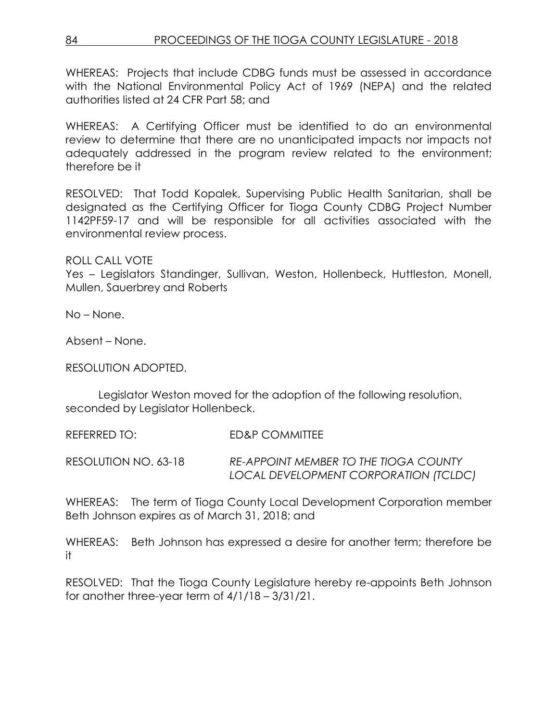WHEREAS: Projects that include CDBG funds must be assessed in accordance with the National Environmental Policy Act of 1969 (NEPA) and the related authorities listed at 24 CFR Part 58; and

WHEREAS: A Certifying Officer must be identified to do an environmental review to determine that there are no unanticipated impacts nor impacts not adequately addressed in the program review related to the environment; therefore be it

RESOLVED: That Todd Kopalek, Supervising Public Health Sanitarian, shall be designated as the Certifying Officer for Tioga County CDBG Project Number 1142PF59-17 and will be responsible for all activities associated with the environmental review process.

ROLL CALL VOTE

Yes – Legislators Standinger, Sullivan, Weston, Hollenbeck, Huttleston, Monell, Mullen, Sauerbrey and Roberts

No – None.

Absent – None.

RESOLUTION ADOPTED.

Legislator Weston moved for the adoption of the following resolution, seconded by Legislator Hollenbeck.

REFERRED TO: ED&P COMMITTEE

RESOLUTION NO. 63-18 *RE-APPOINT MEMBER TO THE TIOGA COUNTY LOCAL DEVELOPMENT CORPORATION (TCLDC)*

WHEREAS: The term of Tioga County Local Development Corporation member Beth Johnson expires as of March 31, 2018; and

WHEREAS: Beth Johnson has expressed a desire for another term; therefore be it

RESOLVED: That the Tioga County Legislature hereby re-appoints Beth Johnson for another three-year term of 4/1/18 – 3/31/21.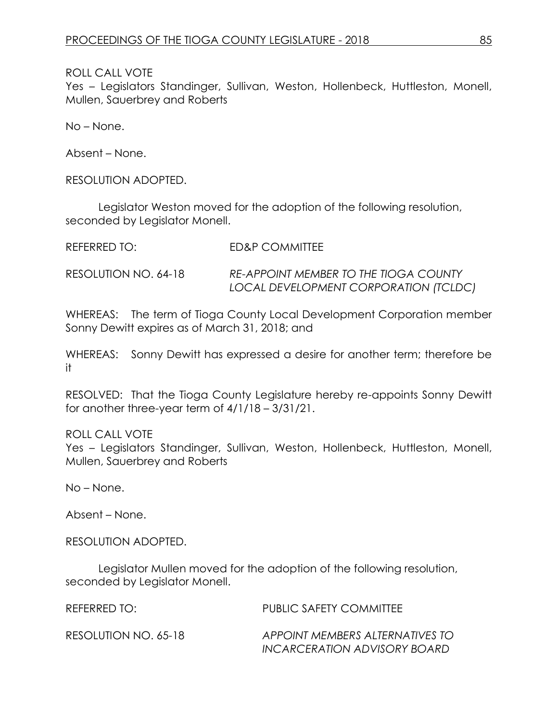Yes - Legislators Standinger, Sullivan, Weston, Hollenbeck, Huttleston, Monell, Mullen, Sauerbrey and Roberts

No – None.

Absent – None.

RESOLUTION ADOPTED.

Legislator Weston moved for the adoption of the following resolution, seconded by Legislator Monell.

| REFERRED TO:         | ED&P COMMITTEE                                                                 |
|----------------------|--------------------------------------------------------------------------------|
| RESOLUTION NO. 64-18 | RE-APPOINT MEMBER TO THE TIOGA COUNTY<br>LOCAL DEVELOPMENT CORPORATION (TCLDC) |

WHEREAS: The term of Tioga County Local Development Corporation member Sonny Dewitt expires as of March 31, 2018; and

WHEREAS: Sonny Dewitt has expressed a desire for another term; therefore be it

RESOLVED: That the Tioga County Legislature hereby re-appoints Sonny Dewitt for another three-year term of 4/1/18 – 3/31/21.

#### ROLL CALL VOTE

Yes – Legislators Standinger, Sullivan, Weston, Hollenbeck, Huttleston, Monell, Mullen, Sauerbrey and Roberts

No – None.

Absent – None.

RESOLUTION ADOPTED.

Legislator Mullen moved for the adoption of the following resolution, seconded by Legislator Monell.

| REFERRED TO:         | <b>PUBLIC SAFETY COMMITTEE</b>  |
|----------------------|---------------------------------|
| RESOLUTION NO. 65-18 | APPOINT MEMBERS ALTERNATIVES TO |
|                      | INCARCERATION ADVISORY BOARD    |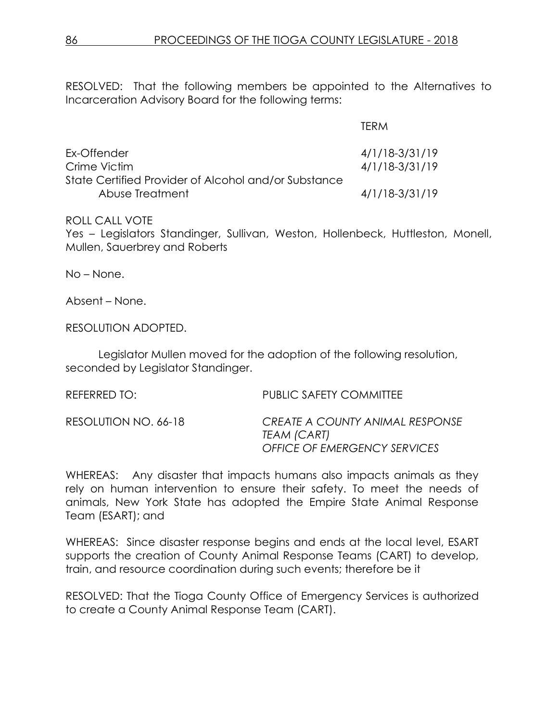RESOLVED: That the following members be appointed to the Alternatives to Incarceration Advisory Board for the following terms:

|                                                      | <b>TERM</b>    |
|------------------------------------------------------|----------------|
| Ex-Offender                                          | 4/1/18-3/31/19 |
| Crime Victim                                         | 4/1/18-3/31/19 |
| State Certified Provider of Alcohol and/or Substance |                |
| Abuse Treatment                                      | 4/1/18-3/31/19 |

#### ROLL CALL VOTE

Yes – Legislators Standinger, Sullivan, Weston, Hollenbeck, Huttleston, Monell, Mullen, Sauerbrey and Roberts

No – None.

Absent – None.

RESOLUTION ADOPTED.

Legislator Mullen moved for the adoption of the following resolution, seconded by Legislator Standinger.

| REFERRED TO:         | PUBLIC SAFETY COMMITTEE                                                               |
|----------------------|---------------------------------------------------------------------------------------|
| RESOLUTION NO. 66-18 | CREATE A COUNTY ANIMAL RESPONSE<br>TEAM (CART)<br><b>OFFICE OF EMERGENCY SERVICES</b> |

WHEREAS: Any disaster that impacts humans also impacts animals as they rely on human intervention to ensure their safety. To meet the needs of animals, New York State has adopted the Empire State Animal Response Team (ESART); and

WHEREAS: Since disaster response begins and ends at the local level, ESART supports the creation of County Animal Response Teams (CART) to develop, train, and resource coordination during such events; therefore be it

RESOLVED: That the Tioga County Office of Emergency Services is authorized to create a County Animal Response Team (CART).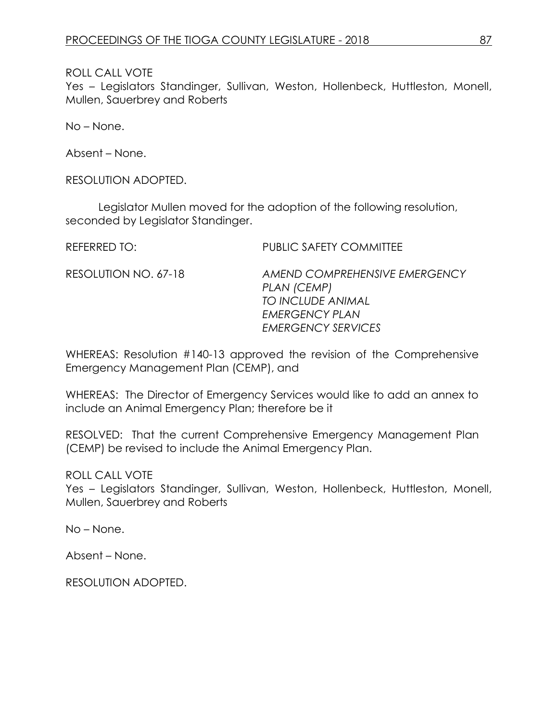Yes – Legislators Standinger, Sullivan, Weston, Hollenbeck, Huttleston, Monell, Mullen, Sauerbrey and Roberts

No – None.

Absent – None.

RESOLUTION ADOPTED.

Legislator Mullen moved for the adoption of the following resolution, seconded by Legislator Standinger.

REFERRED TO: PUBLIC SAFETY COMMITTEE

RESOLUTION NO. 67-18 *AMEND COMPREHENSIVE EMERGENCY PLAN (CEMP) TO INCLUDE ANIMAL EMERGENCY PLAN EMERGENCY SERVICES*

WHEREAS: Resolution #140-13 approved the revision of the Comprehensive Emergency Management Plan (CEMP), and

WHEREAS: The Director of Emergency Services would like to add an annex to include an Animal Emergency Plan; therefore be it

RESOLVED: That the current Comprehensive Emergency Management Plan (CEMP) be revised to include the Animal Emergency Plan.

ROLL CALL VOTE

Yes – Legislators Standinger, Sullivan, Weston, Hollenbeck, Huttleston, Monell, Mullen, Sauerbrey and Roberts

No – None.

Absent – None.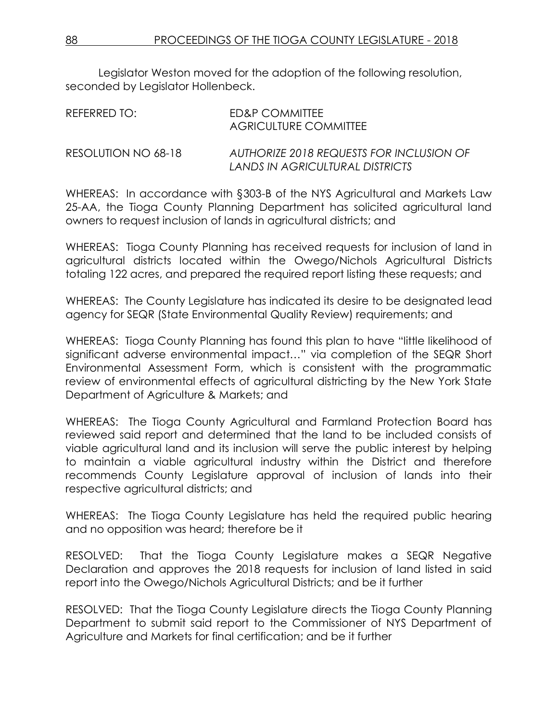Legislator Weston moved for the adoption of the following resolution, seconded by Legislator Hollenbeck.

| RFFFRRFD TO:        | ED&P COMMITTEE<br>AGRICULTURE COMMITTEE                                     |
|---------------------|-----------------------------------------------------------------------------|
| RESOLUTION NO 68-18 | AUTHORIZE 2018 REQUESTS FOR INCLUSION OF<br>LANDS IN AGRICULTURAL DISTRICTS |

WHEREAS: In accordance with §303-B of the NYS Agricultural and Markets Law 25-AA, the Tioga County Planning Department has solicited agricultural land owners to request inclusion of lands in agricultural districts; and

WHEREAS: Tioga County Planning has received requests for inclusion of land in agricultural districts located within the Owego/Nichols Agricultural Districts totaling 122 acres, and prepared the required report listing these requests; and

WHEREAS: The County Legislature has indicated its desire to be designated lead agency for SEQR (State Environmental Quality Review) requirements; and

WHEREAS: Tioga County Planning has found this plan to have "little likelihood of significant adverse environmental impact…" via completion of the SEQR Short Environmental Assessment Form, which is consistent with the programmatic review of environmental effects of agricultural districting by the New York State Department of Agriculture & Markets; and

WHEREAS: The Tioga County Agricultural and Farmland Protection Board has reviewed said report and determined that the land to be included consists of viable agricultural land and its inclusion will serve the public interest by helping to maintain a viable agricultural industry within the District and therefore recommends County Legislature approval of inclusion of lands into their respective agricultural districts; and

WHEREAS: The Tioga County Legislature has held the required public hearing and no opposition was heard; therefore be it

RESOLVED: That the Tioga County Legislature makes a SEQR Negative Declaration and approves the 2018 requests for inclusion of land listed in said report into the Owego/Nichols Agricultural Districts; and be it further

RESOLVED: That the Tioga County Legislature directs the Tioga County Planning Department to submit said report to the Commissioner of NYS Department of Agriculture and Markets for final certification; and be it further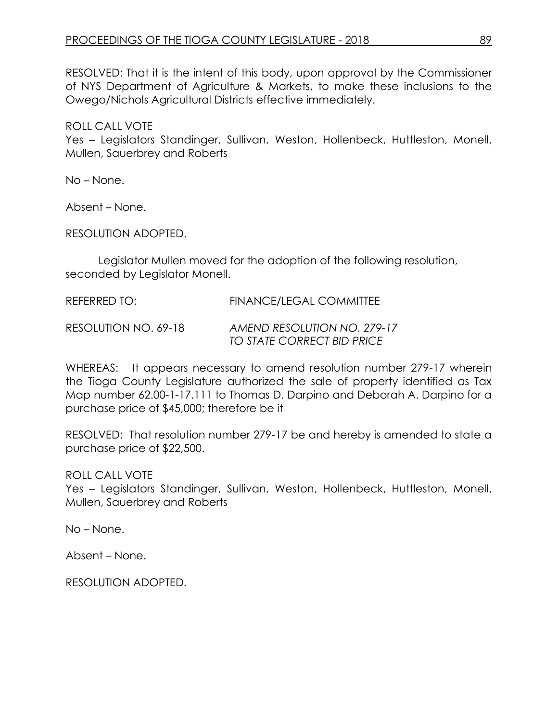RESOLVED: That it is the intent of this body, upon approval by the Commissioner of NYS Department of Agriculture & Markets, to make these inclusions to the Owego/Nichols Agricultural Districts effective immediately.

ROLL CALL VOTE Yes – Legislators Standinger, Sullivan, Weston, Hollenbeck, Huttleston, Monell, Mullen, Sauerbrey and Roberts

No – None.

Absent – None.

RESOLUTION ADOPTED.

Legislator Mullen moved for the adoption of the following resolution, seconded by Legislator Monell.

REFERRED TO: FINANCE/LEGAL COMMITTEE

RESOLUTION NO. 69-18 *AMEND RESOLUTION NO. 279-17 TO STATE CORRECT BID PRICE* 

WHEREAS: It appears necessary to amend resolution number 279-17 wherein the Tioga County Legislature authorized the sale of property identified as Tax Map number 62.00-1-17.111 to Thomas D. Darpino and Deborah A. Darpino for a purchase price of \$45,000; therefore be it

RESOLVED: That resolution number 279-17 be and hereby is amended to state a purchase price of \$22,500.

ROLL CALL VOTE

Yes – Legislators Standinger, Sullivan, Weston, Hollenbeck, Huttleston, Monell, Mullen, Sauerbrey and Roberts

No – None.

Absent – None.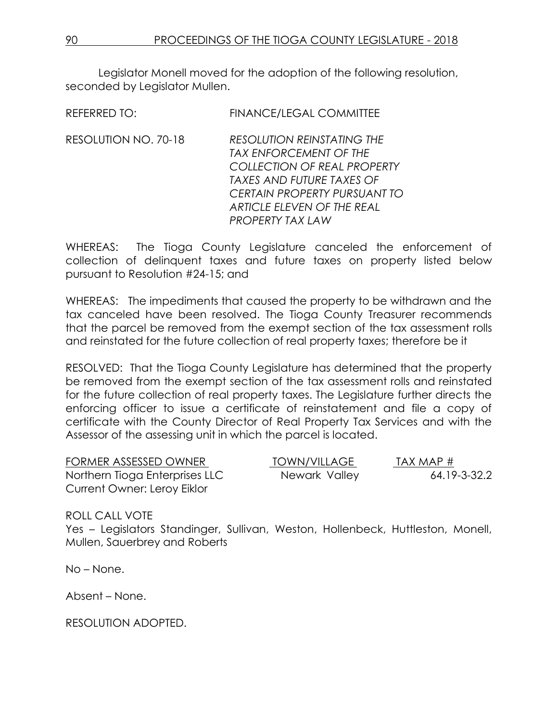Legislator Monell moved for the adoption of the following resolution, seconded by Leaislator Mullen.

REFERRED TO: FINANCE/LEGAL COMMITTEE

RESOLUTION NO. 70-18 *RESOLUTION REINSTATING THE TAX ENFORCEMENT OF THE COLLECTION OF REAL PROPERTY TAXES AND FUTURE TAXES OF CERTAIN PROPERTY PURSUANT TO ARTICLE ELEVEN OF THE REAL PROPERTY TAX LAW*

WHEREAS: The Tioga County Legislature canceled the enforcement of collection of delinquent taxes and future taxes on property listed below pursuant to Resolution #24-15; and

WHEREAS: The impediments that caused the property to be withdrawn and the tax canceled have been resolved. The Tioga County Treasurer recommends that the parcel be removed from the exempt section of the tax assessment rolls and reinstated for the future collection of real property taxes; therefore be it

RESOLVED: That the Tioga County Legislature has determined that the property be removed from the exempt section of the tax assessment rolls and reinstated for the future collection of real property taxes. The Legislature further directs the enforcing officer to issue a certificate of reinstatement and file a copy of certificate with the County Director of Real Property Tax Services and with the Assessor of the assessing unit in which the parcel is located.

| FORMER ASSESSED OWNER          | TOWN/VILLAGE  | TAX MAP #    |
|--------------------------------|---------------|--------------|
| Northern Tioga Enterprises LLC | Newark Valley | 64.19-3-32.2 |
| Current Owner: Leroy Eiklor    |               |              |

ROLL CALL VOTE Yes – Legislators Standinger, Sullivan, Weston, Hollenbeck, Huttleston, Monell, Mullen, Sauerbrey and Roberts

No – None.

Absent – None.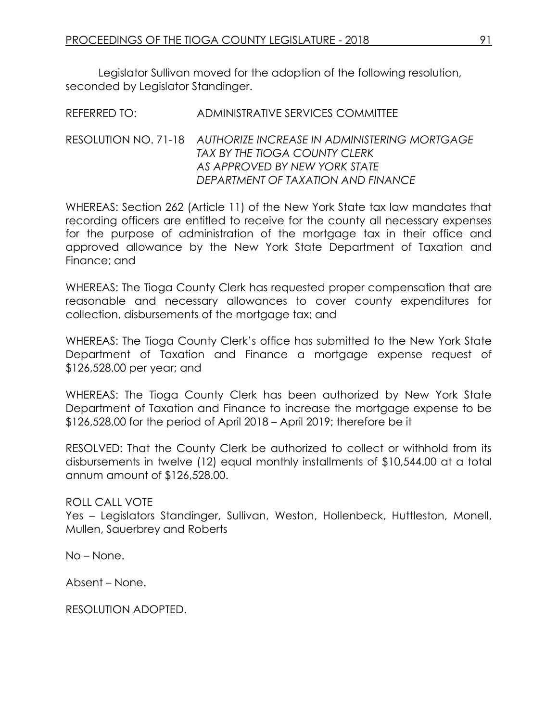Legislator Sullivan moved for the adoption of the following resolution, seconded by Legislator Standinger.

REFERRED TO: ADMINISTRATIVE SERVICES COMMITTEE

### RESOLUTION NO. 71-18 *AUTHORIZE INCREASE IN ADMINISTERING MORTGAGE TAX BY THE TIOGA COUNTY CLERK AS APPROVED BY NEW YORK STATE DEPARTMENT OF TAXATION AND FINANCE*

WHEREAS: Section 262 (Article 11) of the New York State tax law mandates that recording officers are entitled to receive for the county all necessary expenses for the purpose of administration of the mortgage tax in their office and approved allowance by the New York State Department of Taxation and Finance; and

WHEREAS: The Tioga County Clerk has requested proper compensation that are reasonable and necessary allowances to cover county expenditures for collection, disbursements of the mortgage tax; and

WHEREAS: The Tioga County Clerk's office has submitted to the New York State Department of Taxation and Finance a mortgage expense request of \$126,528.00 per year; and

WHEREAS: The Tioga County Clerk has been authorized by New York State Department of Taxation and Finance to increase the mortgage expense to be \$126,528.00 for the period of April 2018 – April 2019; therefore be it

RESOLVED: That the County Clerk be authorized to collect or withhold from its disbursements in twelve (12) equal monthly installments of \$10,544.00 at a total annum amount of \$126,528.00.

### ROLL CALL VOTE

Yes – Legislators Standinger, Sullivan, Weston, Hollenbeck, Huttleston, Monell, Mullen, Sauerbrey and Roberts

No – None.

Absent – None.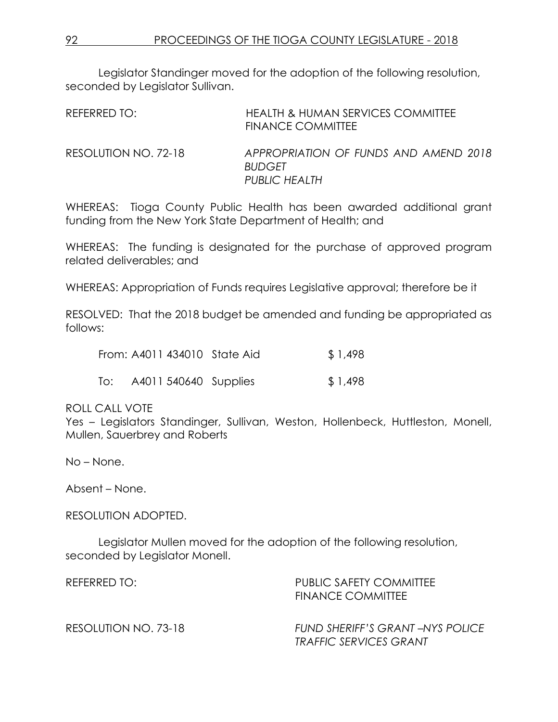Legislator Standinger moved for the adoption of the following resolution, seconded by Legislator Sullivan.

| REFERRED TO:         | HEALTH & HUMAN SERVICES COMMITTEE<br><b>FINANCE COMMITTEE</b>                  |
|----------------------|--------------------------------------------------------------------------------|
| RESOLUTION NO. 72-18 | APPROPRIATION OF FUNDS AND AMEND 2018<br><b>BUDGET</b><br><b>PUBLIC HEALTH</b> |

WHEREAS: Tioga County Public Health has been awarded additional grant funding from the New York State Department of Health; and

WHEREAS: The funding is designated for the purchase of approved program related deliverables; and

WHEREAS: Appropriation of Funds requires Legislative approval; therefore be it

RESOLVED: That the 2018 budget be amended and funding be appropriated as follows:

|     | From: A4011 434010 State Aid | \$1,498 |
|-----|------------------------------|---------|
| To: | A4011 540640 Supplies        | \$1,498 |

### ROLL CALL VOTE

Yes – Legislators Standinger, Sullivan, Weston, Hollenbeck, Huttleston, Monell, Mullen, Sauerbrey and Roberts

No – None.

Absent – None.

RESOLUTION ADOPTED.

Legislator Mullen moved for the adoption of the following resolution, seconded by Legislator Monell.

| REFERRED TO:         | PUBLIC SAFETY COMMITTEE<br><b>FINANCE COMMITTEE</b>              |
|----------------------|------------------------------------------------------------------|
| RESOLUTION NO. 73-18 | FUND SHERIFF'S GRANT-NYS POLICE<br><b>TRAFFIC SERVICES GRANT</b> |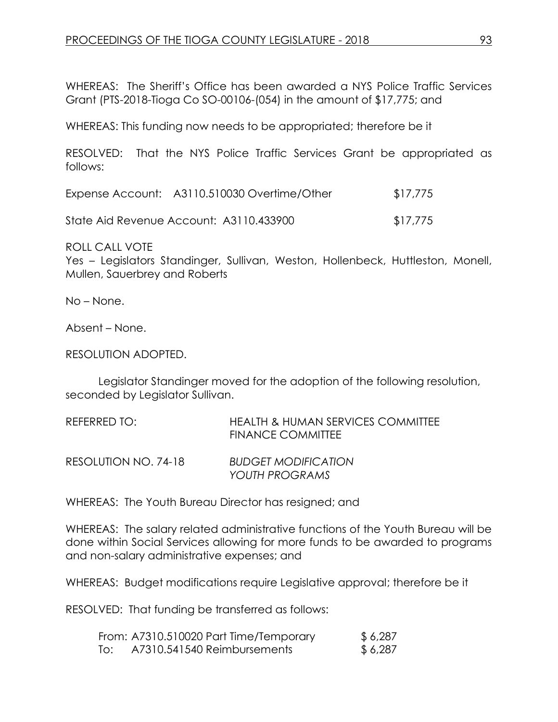WHEREAS: The Sheriff's Office has been awarded a NYS Police Traffic Services Grant (PTS-2018-Tioga Co SO-00106-(054) in the amount of \$17,775; and

WHEREAS: This funding now needs to be appropriated; therefore be it

RESOLVED: That the NYS Police Traffic Services Grant be appropriated as follows:

| Expense Account: A3110.510030 Overtime/Other | \$17,775 |
|----------------------------------------------|----------|
| State Aid Revenue Account: A3110.433900      | \$17,775 |

ROLL CALL VOTE Yes – Legislators Standinger, Sullivan, Weston, Hollenbeck, Huttleston, Monell, Mullen, Sauerbrey and Roberts

No – None.

Absent – None.

RESOLUTION ADOPTED.

Legislator Standinger moved for the adoption of the following resolution, seconded by Legislator Sullivan.

| REFERRED TO:         | <b>HEALTH &amp; HUMAN SERVICES COMMITTEE</b><br><b>FINANCE COMMITTEE</b> |
|----------------------|--------------------------------------------------------------------------|
| RESOLUTION NO. 74-18 | <b>BUDGET MODIFICATION</b><br>YOUTH PROGRAMS                             |

WHEREAS: The Youth Bureau Director has resigned; and

WHEREAS: The salary related administrative functions of the Youth Bureau will be done within Social Services allowing for more funds to be awarded to programs and non-salary administrative expenses; and

WHEREAS: Budget modifications require Legislative approval; therefore be it

RESOLVED: That funding be transferred as follows:

|     | From: A7310.510020 Part Time/Temporary | \$6,287 |
|-----|----------------------------------------|---------|
| To: | A7310.541540 Reimbursements            | \$6,287 |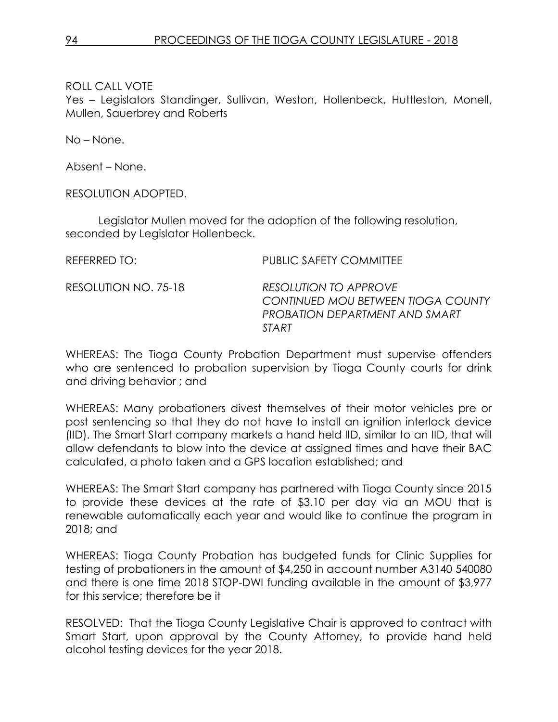Yes – Legislators Standinger, Sullivan, Weston, Hollenbeck, Huttleston, Monell, Mullen, Sauerbrey and Roberts

No – None.

Absent – None.

RESOLUTION ADOPTED.

Legislator Mullen moved for the adoption of the following resolution, seconded by Legislator Hollenbeck.

| REFERRED TO:         | <b>PUBLIC SAFETY COMMITTEE</b>                                                                                |
|----------------------|---------------------------------------------------------------------------------------------------------------|
| RESOLUTION NO. 75-18 | <b>RESOLUTION TO APPROVE</b><br>CONTINUED MOU BETWEEN TIOGA COUNTY<br>PROBATION DEPARTMENT AND SMART<br>START |

WHEREAS: The Tioga County Probation Department must supervise offenders who are sentenced to probation supervision by Tioga County courts for drink and driving behavior ; and

WHEREAS: Many probationers divest themselves of their motor vehicles pre or post sentencing so that they do not have to install an ignition interlock device (IID). The Smart Start company markets a hand held IID, similar to an IID, that will allow defendants to blow into the device at assigned times and have their BAC calculated, a photo taken and a GPS location established; and

WHEREAS: The Smart Start company has partnered with Tioga County since 2015 to provide these devices at the rate of \$3.10 per day via an MOU that is renewable automatically each year and would like to continue the program in 2018; and

WHEREAS: Tioga County Probation has budgeted funds for Clinic Supplies for testing of probationers in the amount of \$4,250 in account number A3140 540080 and there is one time 2018 STOP-DWI funding available in the amount of \$3,977 for this service; therefore be it

RESOLVED: That the Tioga County Legislative Chair is approved to contract with Smart Start, upon approval by the County Attorney, to provide hand held alcohol testing devices for the year 2018.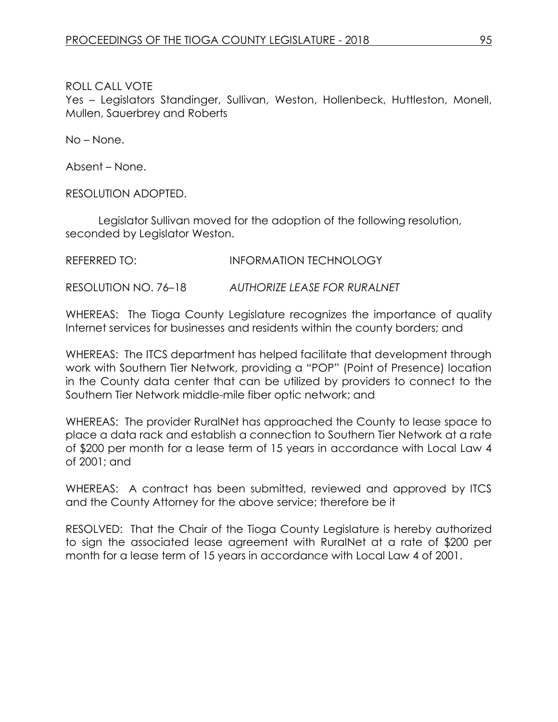Yes – Legislators Standinger, Sullivan, Weston, Hollenbeck, Huttleston, Monell, Mullen, Sauerbrey and Roberts

No – None.

Absent – None.

RESOLUTION ADOPTED.

Legislator Sullivan moved for the adoption of the following resolution, seconded by Legislator Weston.

REFERRED TO: INFORMATION TECHNOLOGY

RESOLUTION NO. 76–18 *AUTHORIZE LEASE FOR RURALNET*

WHEREAS: The Tioga County Legislature recognizes the importance of quality Internet services for businesses and residents within the county borders; and

WHEREAS: The ITCS department has helped facilitate that development through work with Southern Tier Network, providing a "POP" (Point of Presence) location in the County data center that can be utilized by providers to connect to the Southern Tier Network middle-mile fiber optic network; and

WHEREAS: The provider RuralNet has approached the County to lease space to place a data rack and establish a connection to Southern Tier Network at a rate of \$200 per month for a lease term of 15 years in accordance with Local Law 4 of 2001; and

WHEREAS: A contract has been submitted, reviewed and approved by ITCS and the County Attorney for the above service; therefore be it

RESOLVED: That the Chair of the Tioga County Legislature is hereby authorized to sign the associated lease agreement with RuralNet at a rate of \$200 per month for a lease term of 15 years in accordance with Local Law 4 of 2001.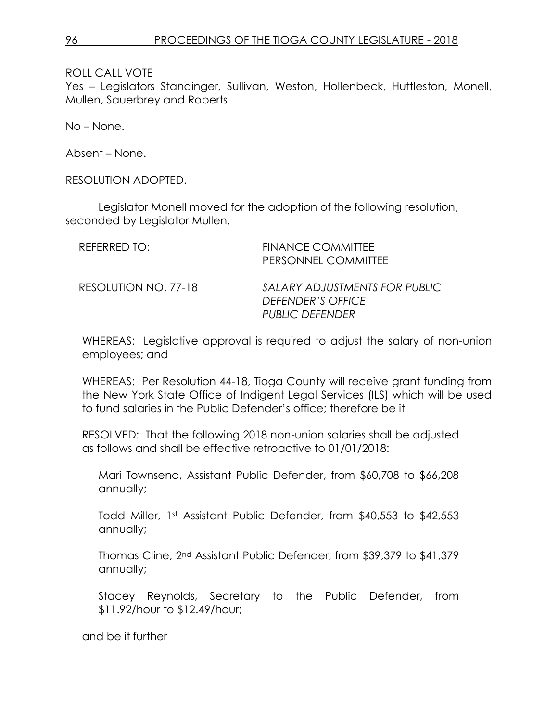Yes – Legislators Standinger, Sullivan, Weston, Hollenbeck, Huttleston, Monell, Mullen, Sauerbrey and Roberts

No – None.

Absent – None.

RESOLUTION ADOPTED.

Legislator Monell moved for the adoption of the following resolution, seconded by Legislator Mullen.

| REFERRED TO:         | <b>FINANCE COMMITTEE</b><br>PERSONNEL COMMITTEE                              |
|----------------------|------------------------------------------------------------------------------|
| RESOLUTION NO. 77-18 | SALARY ADJUSTMENTS FOR PUBLIC<br>DEFENDER'S OFFICE<br><b>PUBLIC DEFENDER</b> |

WHEREAS: Legislative approval is required to adjust the salary of non-union employees; and

WHEREAS: Per Resolution 44-18, Tioga County will receive grant funding from the New York State Office of Indigent Legal Services (ILS) which will be used to fund salaries in the Public Defender's office; therefore be it

RESOLVED: That the following 2018 non-union salaries shall be adjusted as follows and shall be effective retroactive to 01/01/2018:

Mari Townsend, Assistant Public Defender, from \$60,708 to \$66,208 annually;

Todd Miller, 1st Assistant Public Defender, from \$40,553 to \$42,553 annually;

Thomas Cline, 2nd Assistant Public Defender, from \$39,379 to \$41,379 annually;

Stacey Reynolds, Secretary to the Public Defender, from \$11.92/hour to \$12.49/hour;

and be it further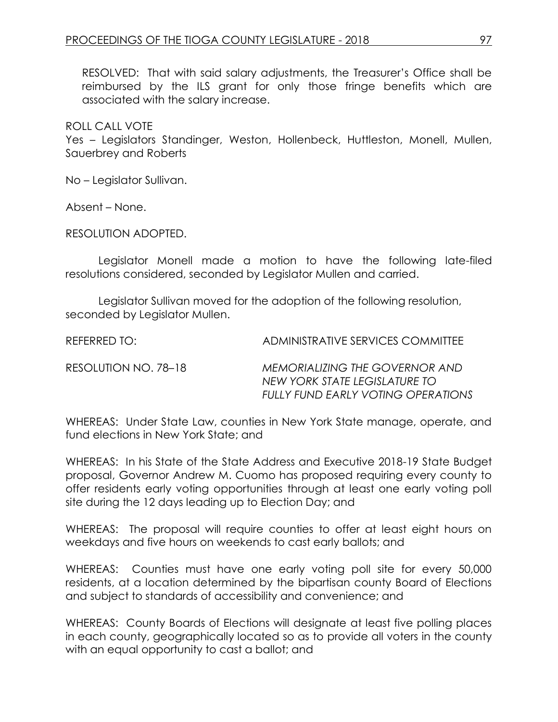RESOLVED: That with said salary adjustments, the Treasurer's Office shall be reimbursed by the ILS grant for only those fringe benefits which are associated with the salary increase.

ROLL CALL VOTE

Yes – Legislators Standinger, Weston, Hollenbeck, Huttleston, Monell, Mullen, Sauerbrey and Roberts

No – Legislator Sullivan.

Absent – None.

RESOLUTION ADOPTED.

Legislator Monell made a motion to have the following late-filed resolutions considered, seconded by Legislator Mullen and carried.

Legislator Sullivan moved for the adoption of the following resolution, seconded by Legislator Mullen.

REFERRED TO: ADMINISTRATIVE SERVICES COMMITTEE

RESOLUTION NO. 78–18 *MEMORIALIZING THE GOVERNOR AND NEW YORK STATE LEGISLATURE TO FULLY FUND EARLY VOTING OPERATIONS*

WHEREAS: Under State Law, counties in New York State manage, operate, and fund elections in New York State; and

WHEREAS: In his State of the State Address and Executive 2018-19 State Budget proposal, Governor Andrew M. Cuomo has proposed requiring every county to offer residents early voting opportunities through at least one early voting poll site during the 12 days leading up to Election Day; and

WHEREAS: The proposal will require counties to offer at least eight hours on weekdays and five hours on weekends to cast early ballots; and

WHEREAS: Counties must have one early voting poll site for every 50,000 residents, at a location determined by the bipartisan county Board of Elections and subject to standards of accessibility and convenience; and

WHEREAS: County Boards of Elections will designate at least five polling places in each county, geographically located so as to provide all voters in the county with an equal opportunity to cast a ballot; and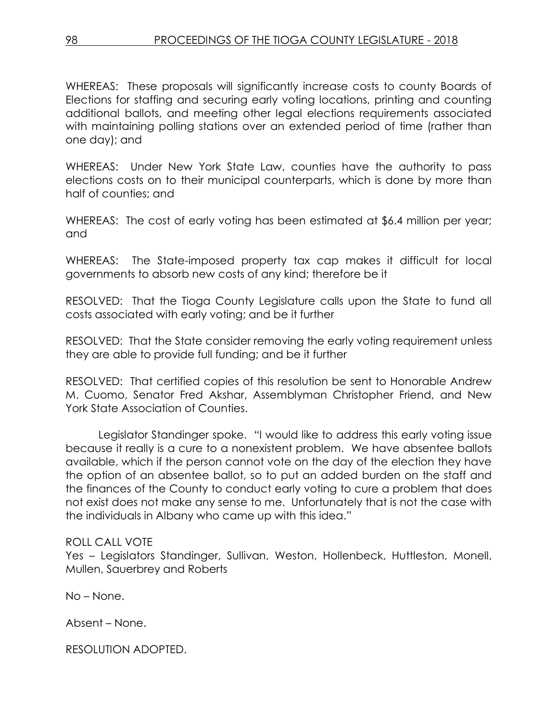WHEREAS: These proposals will significantly increase costs to county Boards of Elections for staffing and securing early voting locations, printing and counting additional ballots, and meeting other legal elections requirements associated with maintaining polling stations over an extended period of time (rather than one day); and

WHEREAS: Under New York State Law, counties have the authority to pass elections costs on to their municipal counterparts, which is done by more than half of counties; and

WHEREAS: The cost of early voting has been estimated at \$6.4 million per year; and

WHEREAS: The State-imposed property tax cap makes it difficult for local governments to absorb new costs of any kind; therefore be it

RESOLVED: That the Tioga County Legislature calls upon the State to fund all costs associated with early voting; and be it further

RESOLVED: That the State consider removing the early voting requirement unless they are able to provide full funding; and be it further

RESOLVED: That certified copies of this resolution be sent to Honorable Andrew M. Cuomo, Senator Fred Akshar, Assemblyman Christopher Friend, and New York State Association of Counties.

Legislator Standinger spoke. "I would like to address this early voting issue because it really is a cure to a nonexistent problem. We have absentee ballots available, which if the person cannot vote on the day of the election they have the option of an absentee ballot, so to put an added burden on the staff and the finances of the County to conduct early voting to cure a problem that does not exist does not make any sense to me. Unfortunately that is not the case with the individuals in Albany who came up with this idea."

### ROLL CALL VOTE

Yes – Legislators Standinger, Sullivan, Weston, Hollenbeck, Huttleston, Monell, Mullen, Sauerbrey and Roberts

No – None.

Absent – None.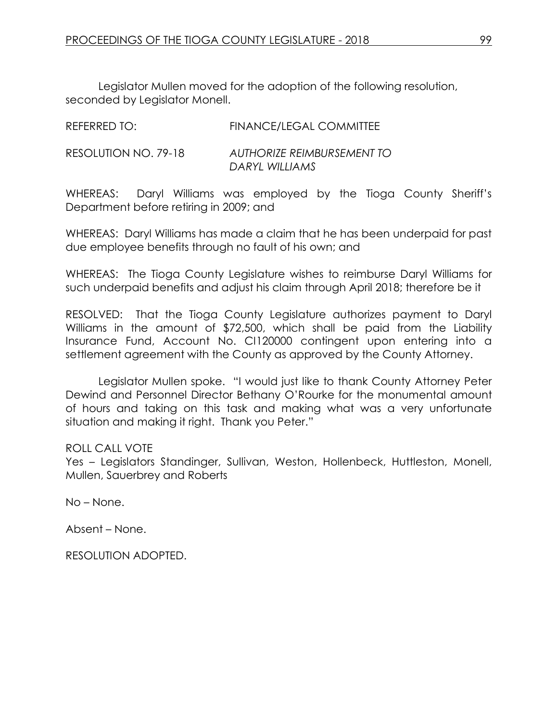Legislator Mullen moved for the adoption of the following resolution, seconded by Legislator Monell.

| REFERRED TO:         | <b>FINANCE/LEGAL COMMITTEE</b>                      |
|----------------------|-----------------------------------------------------|
| RESOLUTION NO. 79-18 | <b>AUTHORIZE REIMBURSEMENT TO</b><br>DARYL WILLIAMS |

WHEREAS: Daryl Williams was employed by the Tioga County Sheriff's Department before retiring in 2009; and

WHEREAS: Daryl Williams has made a claim that he has been underpaid for past due employee benefits through no fault of his own; and

WHEREAS: The Tioga County Legislature wishes to reimburse Daryl Williams for such underpaid benefits and adjust his claim through April 2018; therefore be it

RESOLVED: That the Tioga County Legislature authorizes payment to Daryl Williams in the amount of \$72,500, which shall be paid from the Liability Insurance Fund, Account No. CI120000 contingent upon entering into a settlement agreement with the County as approved by the County Attorney.

Legislator Mullen spoke. "I would just like to thank County Attorney Peter Dewind and Personnel Director Bethany O'Rourke for the monumental amount of hours and taking on this task and making what was a very unfortunate situation and making it right. Thank you Peter."

#### ROLL CALL VOTE

Yes - Legislators Standinger, Sullivan, Weston, Hollenbeck, Huttleston, Monell, Mullen, Sauerbrey and Roberts

No – None.

Absent – None.